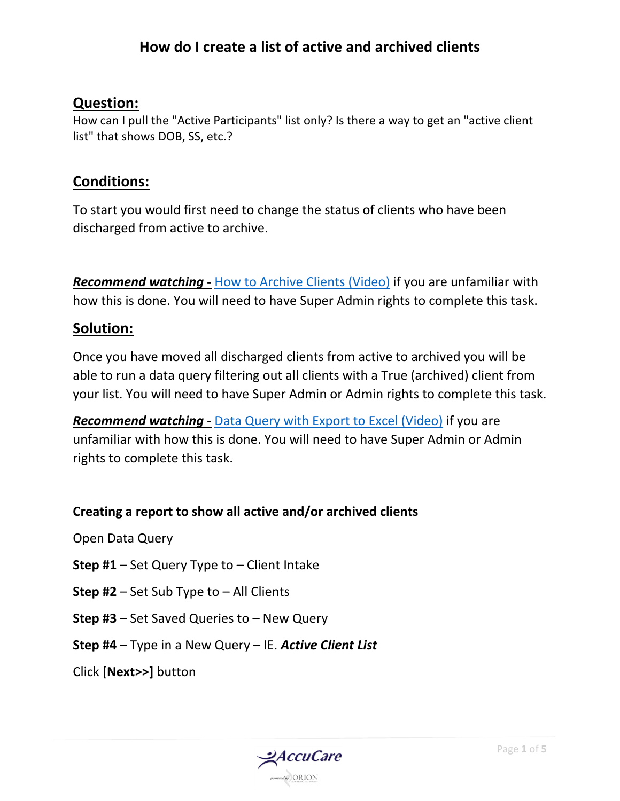#### **Question:**

How can I pull the "Active Participants" list only? Is there a way to get an "active client list" that shows DOB, SS, etc.?

### **Conditions:**

To start you would first need to change the status of clients who have been discharged from active to archive.

**Recommend watching** - [How to Archive Clients \(Video\)](https://orionhealthcare.zendesk.com/hc/en-us/articles/1500000361802-How-to-Archive-Clients-Video-) if you are unfamiliar with how this is done. You will need to have Super Admin rights to complete this task.

### **Solution:**

Once you have moved all discharged clients from active to archived you will be able to run a data query filtering out all clients with a True (archived) client from your list. You will need to have Super Admin or Admin rights to complete this task.

*Recommend watching -* [Data Query with Export to Excel \(Video\)](https://orionhealthcare.zendesk.com/hc/en-us/articles/360053467654-Data-Query-with-Export-to-Excel-Video-) if you are unfamiliar with how this is done. You will need to have Super Admin or Admin rights to complete this task.

#### **Creating a report to show all active and/or archived clients**

Open Data Query

- **Step #1** Set Query Type to Client Intake
- **Step #2** Set Sub Type to All Clients
- **Step #3** Set Saved Queries to New Query
- **Step #4** Type in a New Query IE. *Active Client List*

Click [**Next>>]** button

 $\mathcal{A}$ ccuCare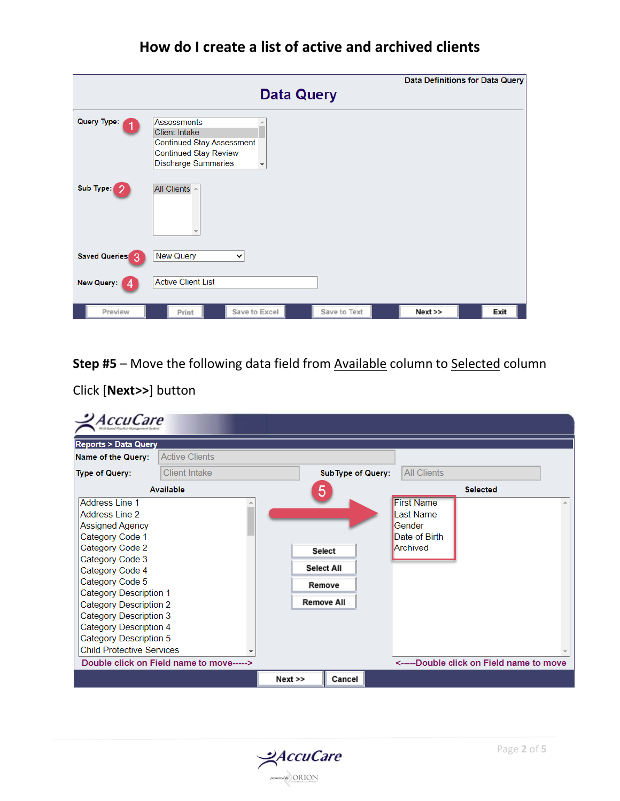|  |  | How do I create a list of active and archived clients |
|--|--|-------------------------------------------------------|
|--|--|-------------------------------------------------------|

|                            | <b>Data Query</b>                                                                                                                            |            | Data Definitions for Data Query |
|----------------------------|----------------------------------------------------------------------------------------------------------------------------------------------|------------|---------------------------------|
| <b>Query Type:</b>         | <b>Assessments</b><br><b>Client Intake</b><br><b>Continued Stay Assessment</b><br><b>Continued Stay Review</b><br><b>Discharge Summaries</b> |            |                                 |
| Sub Type:<br>2             | All Clients -                                                                                                                                |            |                                 |
| Saved Queries <sup>3</sup> | <b>New Query</b><br>$\checkmark$                                                                                                             |            |                                 |
| New Query:<br>4            | <b>Active Client List</b>                                                                                                                    |            |                                 |
| Preview                    | Save to Excel<br>Save to Text<br>Print                                                                                                       | $Next$ $>$ | Exit                            |

**Step #5** – Move the following data field from Available column to Selected column

Click [**Next>>**] button

| <b>Reports &gt; Data Query</b>   |                                          |                   |                          |                    |                                          |
|----------------------------------|------------------------------------------|-------------------|--------------------------|--------------------|------------------------------------------|
| <b>Name of the Query:</b>        | <b>Active Clients</b>                    |                   |                          |                    |                                          |
| <b>Type of Query:</b>            | <b>Client Intake</b>                     |                   | <b>SubType of Query:</b> | <b>All Clients</b> |                                          |
|                                  | Available                                | 5                 |                          |                    | <b>Selected</b>                          |
| <b>Address Line 1</b>            |                                          |                   |                          | <b>First Name</b>  |                                          |
| Address Line 2                   |                                          |                   |                          | Last Name          |                                          |
| <b>Assigned Agency</b>           |                                          |                   |                          | Gender             |                                          |
| Category Code 1                  |                                          |                   |                          | Date of Birth      |                                          |
| Category Code 2                  |                                          | <b>Select</b>     |                          | Archived           |                                          |
| Category Code 3                  |                                          |                   |                          |                    |                                          |
| Category Code 4                  |                                          | <b>Select All</b> |                          |                    |                                          |
| Category Code 5                  |                                          | Remove            |                          |                    |                                          |
| <b>Category Description 1</b>    |                                          | <b>Remove All</b> |                          |                    |                                          |
| <b>Category Description 2</b>    |                                          |                   |                          |                    |                                          |
| <b>Category Description 3</b>    |                                          |                   |                          |                    |                                          |
| <b>Category Description 4</b>    |                                          |                   |                          |                    |                                          |
| <b>Category Description 5</b>    |                                          |                   |                          |                    |                                          |
| <b>Child Protective Services</b> |                                          |                   |                          |                    |                                          |
|                                  | Double click on Field name to move-----> |                   |                          |                    | <-----Double click on Field name to move |

 $\frac{Q}{C}$ *AccuCare*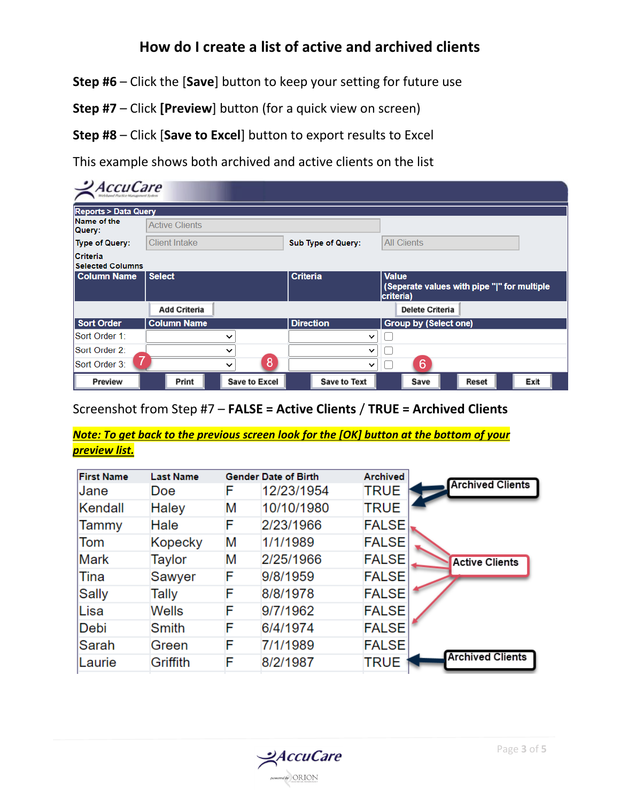**Step #6** – Click the [**Save**] button to keep your setting for future use

**Step #7** – Click **[Preview**] button (for a quick view on screen)

**Step #8** – Click [**Save to Excel**] button to export results to Excel

This example shows both archived and active clients on the list

| AccuCare                                   |                       |                      |                     |                           |                                             |
|--------------------------------------------|-----------------------|----------------------|---------------------|---------------------------|---------------------------------------------|
| <b>Reports &gt; Data Query</b>             |                       |                      |                     |                           |                                             |
| Name of the<br>Query:                      | <b>Active Clients</b> |                      |                     |                           |                                             |
| <b>Type of Query:</b>                      | <b>Client Intake</b>  |                      | Sub Type of Query:  | <b>All Clients</b>        |                                             |
| <b>Criteria</b><br><b>Selected Columns</b> |                       |                      |                     |                           |                                             |
| <b>Column Name</b>                         | <b>Select</b>         |                      | <b>Criteria</b>     | <b>Value</b><br>criteria) | (Seperate values with pipe " " for multiple |
|                                            | <b>Add Criteria</b>   |                      |                     | <b>Delete Criteria</b>    |                                             |
| <b>Sort Order</b>                          | <b>Column Name</b>    |                      | <b>Direction</b>    | Group by (Select one)     |                                             |
| Sort Order 1:                              |                       | ◡                    | $\checkmark$        |                           |                                             |
| Sort Order 2:                              |                       | $\check{ }$          | $\checkmark$        |                           |                                             |
| Sort Order 3:                              |                       | 8<br>◡               | $\checkmark$        | 6                         |                                             |
| Preview                                    | Print                 | <b>Save to Excel</b> | <b>Save to Text</b> | Save                      | Exit<br><b>Reset</b>                        |

Screenshot from Step #7 – **FALSE = Active Clients** / **TRUE = Archived Clients**

*Note: To get back to the previous screen look for the [OK] button at the bottom of your preview list.*

| <b>First Name</b> | <b>Last Name</b> |   | <b>Gender Date of Birth</b> | <b>Archived</b>                        |  |
|-------------------|------------------|---|-----------------------------|----------------------------------------|--|
| Jane              | Doe              | F | 12/23/1954                  | <b>Archived Clients</b><br><b>TRUE</b> |  |
| Kendall           | Haley            | М | 10/10/1980                  | <b>TRUE</b>                            |  |
| Tammy             | Hale             | F | 2/23/1966                   | <b>FALSE</b>                           |  |
| Tom               | Kopecky          | М | 1/1/1989                    | <b>FALSE</b>                           |  |
| Mark              | Taylor           | Μ | 2/25/1966                   | <b>FALSE</b><br><b>Active Clients</b>  |  |
| lTina             | Sawyer           | F | 9/8/1959                    | <b>FALSE</b>                           |  |
| <b>Sally</b>      | Tally            | F | 8/8/1978                    | <b>FALSE</b>                           |  |
| Lisa              | Wells            | F | 9/7/1962                    | <b>FALSE</b>                           |  |
| Debi              | Smith            | F | 6/4/1974                    | <b>FALSE</b>                           |  |
| Sarah             | Green            | F | 7/1/1989                    | <b>FALSE</b>                           |  |
| Laurie            | Griffith         | F | 8/2/1987                    | <b>Archived Clients</b><br><b>TRUE</b> |  |
|                   |                  |   |                             |                                        |  |

 $\frac{Q}{C}$ *AccuCare*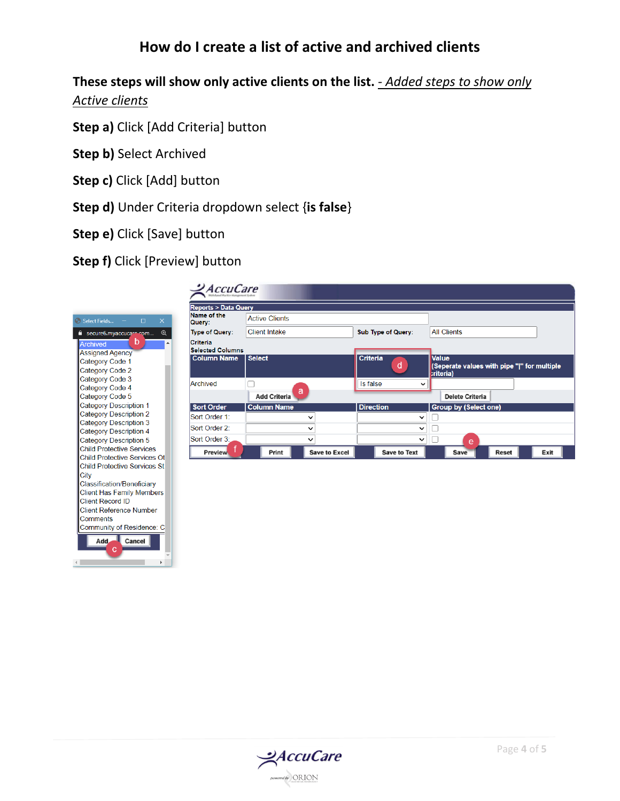### **These steps will show only active clients on the list.** *- Added steps to show only Active clients*

- **Step a)** Click [Add Criteria] button
- **Step b)** Select Archived
- **Step c)** Click [Add] button
- **Step d)** Under Criteria dropdown select {**is false**}
- **Step e)** Click [Save] button

Community of Residence: C Add Cancel

#### **Step f)** Click [Preview] button

|                                                                         | AccuCare                            |                       |                      |                         |                                                                                  |              |      |
|-------------------------------------------------------------------------|-------------------------------------|-----------------------|----------------------|-------------------------|----------------------------------------------------------------------------------|--------------|------|
|                                                                         | <b>Reports &gt; Data Query</b>      |                       |                      |                         |                                                                                  |              |      |
| $\times$<br>$\Box$<br>Select Fields                                     | Name of the<br>Query:               | <b>Active Clients</b> |                      |                         |                                                                                  |              |      |
| $\Theta$<br>secure6.myaccucare.com<br>٦                                 | <b>Type of Query:</b>               | <b>Client Intake</b>  |                      | Sub Type of Query:      | <b>All Clients</b>                                                               |              |      |
| b<br><b>Archived</b>                                                    | Criteria<br><b>Selected Columns</b> |                       |                      |                         |                                                                                  |              |      |
| <b>Assigned Agency</b><br>Category Code 1<br>Category Code 2            | <b>Column Name</b>                  | <b>Select</b>         |                      | <b>Criteria</b><br>d    | <b>Value</b><br>(Seperate values with pipe " " for multiple<br><b>criteria</b> ) |              |      |
| Category Code 3<br>Category Code 4                                      | Archived                            | a                     |                      | Is false<br>$\check{ }$ |                                                                                  |              |      |
| Category Code 5<br><b>Category Description 1</b>                        |                                     | <b>Add Criteria</b>   |                      |                         | <b>Delete Criteria</b>                                                           |              |      |
| <b>Category Description 2</b>                                           | <b>Sort Order</b>                   | <b>Column Name</b>    |                      | <b>Direction</b>        | Group by (Select one)                                                            |              |      |
| <b>Category Description 3</b>                                           | Sort Order 1:                       |                       | $\checkmark$         | $\check{~}$             |                                                                                  |              |      |
| <b>Category Description 4</b>                                           | Sort Order 2:                       |                       | $\checkmark$         | $\checkmark$            |                                                                                  |              |      |
| <b>Category Description 5</b>                                           | Sort Order 3:                       |                       | $\check{ }$          | $\check{ }$             | e                                                                                |              |      |
| <b>Child Protective Services</b><br><b>Child Protective Services Ot</b> | <b>Preview</b>                      | Print                 | <b>Save to Excel</b> | <b>Save to Text</b>     | Save                                                                             | <b>Reset</b> | Exit |
| <b>Child Protective Services St</b>                                     |                                     |                       |                      |                         |                                                                                  |              |      |
| City                                                                    |                                     |                       |                      |                         |                                                                                  |              |      |
| Classification/Beneficiary                                              |                                     |                       |                      |                         |                                                                                  |              |      |
| <b>Client Has Family Members</b>                                        |                                     |                       |                      |                         |                                                                                  |              |      |
| Client Record ID                                                        |                                     |                       |                      |                         |                                                                                  |              |      |
| <b>Client Reference Number</b>                                          |                                     |                       |                      |                         |                                                                                  |              |      |
| <b>Comments</b>                                                         |                                     |                       |                      |                         |                                                                                  |              |      |